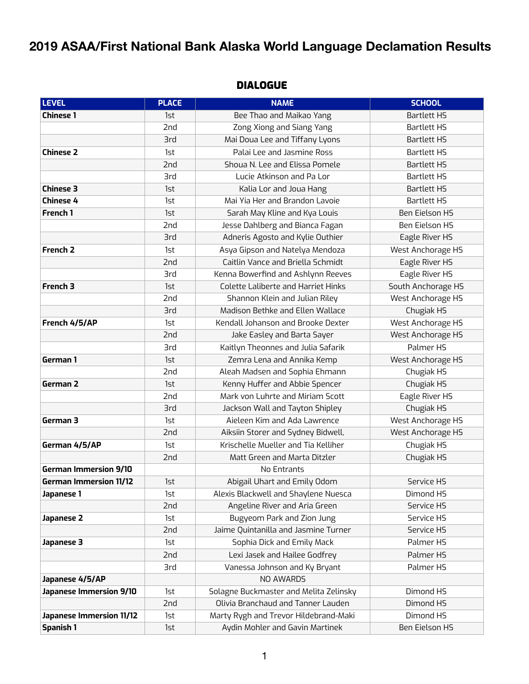## **2019 ASAA/First National Bank Alaska World Language Declamation Results**

## DIALOGUE

| <b>LEVEL</b>                   | <b>PLACE</b>    | <b>NAME</b>                            | <b>SCHOOL</b>      |
|--------------------------------|-----------------|----------------------------------------|--------------------|
| <b>Chinese 1</b>               | 1st             | Bee Thao and Maikao Yang               | <b>Bartlett HS</b> |
|                                | 2nd             | Zong Xiong and Siang Yang              | <b>Bartlett HS</b> |
|                                | 3rd             | Mai Doua Lee and Tiffany Lyons         | <b>Bartlett HS</b> |
| <b>Chinese 2</b>               | 1st             | Palai Lee and Jasmine Ross             | <b>Bartlett HS</b> |
|                                | 2 <sub>nd</sub> | Shoua N. Lee and Elissa Pomele         | <b>Bartlett HS</b> |
|                                | 3rd             | Lucie Atkinson and Pa Lor              | <b>Bartlett HS</b> |
| <b>Chinese 3</b>               | 1st             | Kalia Lor and Joua Hang                | <b>Bartlett HS</b> |
| <b>Chinese 4</b>               | 1st             | Mai Yia Her and Brandon Lavoie         | <b>Bartlett HS</b> |
| French 1                       | 1st             | Sarah May Kline and Kya Louis          | Ben Eielson HS     |
|                                | 2nd             | Jesse Dahlberg and Bianca Fagan        | Ben Eielson HS     |
|                                | 3rd             | Adneris Agosto and Kylie Outhier       | Eagle River HS     |
| French <sub>2</sub>            | 1st             | Asya Gipson and Natelya Mendoza        | West Anchorage HS  |
|                                | 2nd             | Caitlin Vance and Briella Schmidt      | Eagle River HS     |
|                                | 3rd             | Kenna Bowerfind and Ashlynn Reeves     | Eagle River HS     |
| French 3                       | 1st             | Colette Laliberte and Harriet Hinks    | South Anchorage HS |
|                                | 2nd             | Shannon Klein and Julian Riley         | West Anchorage HS  |
|                                | 3rd             | Madison Bethke and Ellen Wallace       | Chugiak HS         |
| French 4/5/AP                  | 1st             | Kendall Johanson and Brooke Dexter     | West Anchorage HS  |
|                                | 2nd             | Jake Easley and Barta Sayer            | West Anchorage HS  |
|                                | 3rd             | Kaitlyn Theonnes and Julia Safarik     | Palmer HS          |
| German 1                       | 1st             | Zemra Lena and Annika Kemp             | West Anchorage HS  |
|                                | 2 <sub>nd</sub> | Aleah Madsen and Sophia Ehmann         | Chugiak HS         |
| German 2                       | 1st             | Kenny Huffer and Abbie Spencer         | Chugiak HS         |
|                                | 2nd             | Mark von Luhrte and Miriam Scott       | Eagle River HS     |
|                                | 3rd             | Jackson Wall and Tayton Shipley        | Chugiak HS         |
| German 3                       | 1st             | Aieleen Kim and Ada Lawrence           | West Anchorage HS  |
|                                | 2nd             | Aiksiin Storer and Sydney Bidwell,     | West Anchorage HS  |
| German 4/5/AP                  | 1st             | Krischelle Mueller and Tia Kelliher    | Chugiak HS         |
|                                | 2nd             | Matt Green and Marta Ditzler           | Chugiak HS         |
| <b>German Immersion 9/10</b>   |                 | No Entrants                            |                    |
| <b>German Immersion 11/12</b>  | 1st             | Abigail Uhart and Emily Odom           | Service HS         |
| Japanese 1                     | 1st             | Alexis Blackwell and Shaylene Nuesca   | Dimond HS          |
|                                | 2nd             | Angeline River and Aria Green          | Service HS         |
| Japanese 2                     | 1st             | Bugyeom Park and Zion Jung             | Service HS         |
|                                | 2nd             | Jaime Quintanilla and Jasmine Turner   | Service HS         |
| Japanese 3                     | 1st             | Sophia Dick and Emily Mack             | Palmer HS          |
|                                | 2nd             | Lexi Jasek and Hailee Godfrey          | Palmer HS          |
|                                | 3rd             | Vanessa Johnson and Ky Bryant          | Palmer HS          |
| Japanese 4/5/AP                |                 | NO AWARDS                              |                    |
| <b>Japanese Immersion 9/10</b> | 1st             | Solagne Buckmaster and Melita Zelinsky | Dimond HS          |
|                                | 2nd             | Olivia Branchaud and Tanner Lauden     | Dimond HS          |
| Japanese Immersion 11/12       | 1st             | Marty Rygh and Trevor Hildebrand-Maki  | Dimond HS          |
| <b>Spanish 1</b>               | 1st             | Aydin Mohler and Gavin Martinek        | Ben Eielson HS     |